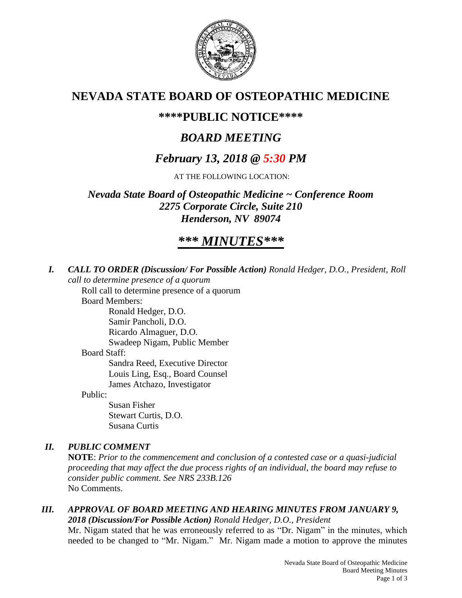

# **NEVADA STATE BOARD OF OSTEOPATHIC MEDICINE**

# **\*\*\*\*PUBLIC NOTICE\*\*\*\***

# *BOARD MEETING*

# *February 13, 2018 @ 5:30 PM*

AT THE FOLLOWING LOCATION:

*Nevada State Board of Osteopathic Medicine ~ Conference Room 2275 Corporate Circle, Suite 210 Henderson, NV 89074*

# *\*\*\* MINUTES\*\*\**

*I. CALL TO ORDER (Discussion/ For Possible Action) Ronald Hedger, D.O., President, Roll call to determine presence of a quorum*

Roll call to determine presence of a quorum

Board Members:

Ronald Hedger, D.O.

Samir Pancholi, D.O. Ricardo Almaguer, D.O.

Swadeep Nigam, Public Member

## Board Staff:

Sandra Reed, Executive Director Louis Ling, Esq., Board Counsel James Atchazo, Investigator

Public:

Susan Fisher Stewart Curtis, D.O. Susana Curtis

# *II. PUBLIC COMMENT*

**NOTE**: *Prior to the commencement and conclusion of a contested case or a quasi-judicial proceeding that may affect the due process rights of an individual, the board may refuse to consider public comment. See NRS 233B.126* No Comments.

## *III. APPROVAL OF BOARD MEETING AND HEARING MINUTES FROM JANUARY 9, 2018 (Discussion/For Possible Action) Ronald Hedger, D.O., President*

Mr. Nigam stated that he was erroneously referred to as "Dr. Nigam" in the minutes, which needed to be changed to "Mr. Nigam." Mr. Nigam made a motion to approve the minutes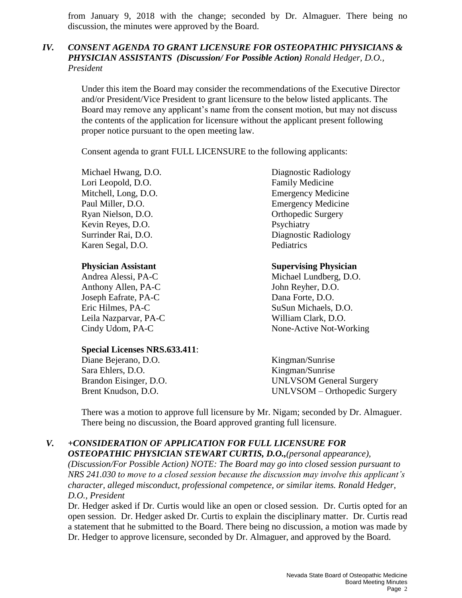from January 9, 2018 with the change; seconded by Dr. Almaguer. There being no discussion, the minutes were approved by the Board.

## *IV. CONSENT AGENDA TO GRANT LICENSURE FOR OSTEOPATHIC PHYSICIANS & PHYSICIAN ASSISTANTS (Discussion/ For Possible Action) Ronald Hedger, D.O., President*

Under this item the Board may consider the recommendations of the Executive Director and/or President/Vice President to grant licensure to the below listed applicants. The Board may remove any applicant's name from the consent motion, but may not discuss the contents of the application for licensure without the applicant present following proper notice pursuant to the open meeting law.

Consent agenda to grant FULL LICENSURE to the following applicants:

Lori Leopold, D.O. **Family Medicine** Mitchell, Long, D.O. Emergency Medicine Paul Miller, D.O. Emergency Medicine Ryan Nielson, D.O. **Orthopedic Surgery** Kevin Reyes, D.O. Psychiatry Karen Segal, D.O. Pediatrics

Anthony Allen, PA-C John Reyher, D.O. Joseph Eafrate, PA-C Dana Forte, D.O. Eric Hilmes, PA-C SuSun Michaels, D.O. Leila Nazparvar, PA-C William Clark, D.O.

#### **Special Licenses NRS.633.411**:

Diane Bejerano, D.O. Kingman/Sunrise Sara Ehlers, D.O. Kingman/Sunrise

Michael Hwang, D.O. Diagnostic Radiology Surrinder Rai, D.O. Diagnostic Radiology

#### **Physician Assistant Supervising Physician**

Andrea Alessi, PA-C Michael Lundberg, D.O. Cindy Udom, PA-C None-Active Not-Working

Brandon Eisinger, D.O. UNLVSOM General Surgery Brent Knudson, D.O. UNLVSOM – Orthopedic Surgery

There was a motion to approve full licensure by Mr. Nigam; seconded by Dr. Almaguer. There being no discussion, the Board approved granting full licensure.

#### *V. +CONSIDERATION OF APPLICATION FOR FULL LICENSURE FOR OSTEOPATHIC PHYSICIAN STEWART CURTIS, D.O.,(personal appearance),*

*(Discussion/For Possible Action) NOTE: The Board may go into closed session pursuant to NRS 241.030 to move to a closed session because the discussion may involve this applicant's character, alleged misconduct, professional competence, or similar items. Ronald Hedger, D.O., President* 

Dr. Hedger asked if Dr. Curtis would like an open or closed session. Dr. Curtis opted for an open session. Dr. Hedger asked Dr. Curtis to explain the disciplinary matter. Dr. Curtis read a statement that he submitted to the Board. There being no discussion, a motion was made by Dr. Hedger to approve licensure, seconded by Dr. Almaguer, and approved by the Board.